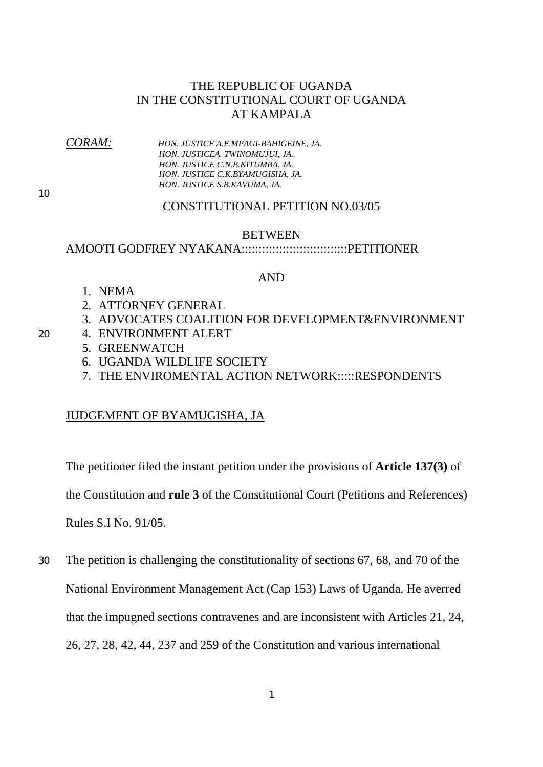## THE REPUBLIC OF UGANDA IN THE CONSTITUTIONAL COURT OF UGANDA AT KAMPALA

*CORAM: HON. JUSTICE A.E.MPAGI-BAHIGEINE, JA. HON. JUSTICEA. TWINOMUJUI, JA. HON. JUSTICE C.N.B.KITUMBA, JA. HON. JUSTICE C.K.BYAMUGISHA, JA. HON. JUSTICE S.B.KAVUMA, JA.* 

10

## CONSTITUTIONAL PETITION NO.03/05

### BETWEEN

## AMOOTI GODFREY NYAKANA:::::::::::::::::::::::::::::::PETITIONER

## AND

- 1. NEMA
- 2. ATTORNEY GENERAL
- 3. ADVOCATES COALITION FOR DEVELOPMENT&ENVIRONMENT
- 20 4. ENVIRONMENT ALERT
	- 5. GREENWATCH
	- 6. UGANDA WILDLIFE SOCIETY
	- 7. THE ENVIROMENTAL ACTION NETWORK:::::RESPONDENTS

## JUDGEMENT OF BYAMUGISHA, JA

The petitioner filed the instant petition under the provisions of **Article 137(3)** of

the Constitution and **rule 3** of the Constitutional Court (Petitions and References)

Rules S.I No. 91/05.

The petition is challenging the constitutionality of sections 67, 68, and 70 of the National Environment Management Act (Cap 153) Laws of Uganda. He averred that the impugned sections contravenes and are inconsistent with Articles 21, 24, 26, 27, 28, 42, 44, 237 and 259 of the Constitution and various international 30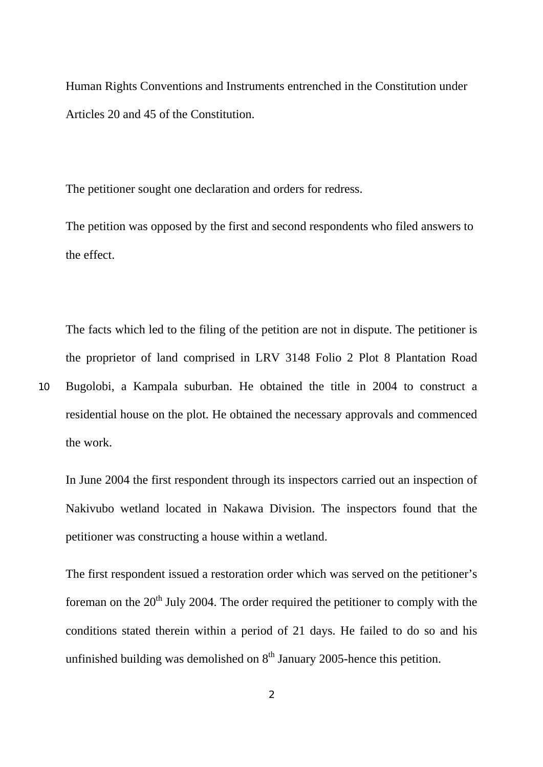Human Rights Conventions and Instruments entrenched in the Constitution under Articles 20 and 45 of the Constitution.

The petitioner sought one declaration and orders for redress.

10

The petition was opposed by the first and second respondents who filed answers to the effect.

The facts which led to the filing of the petition are not in dispute. The petitioner is the proprietor of land comprised in LRV 3148 Folio 2 Plot 8 Plantation Road Bugolobi, a Kampala suburban. He obtained the title in 2004 to construct a residential house on the plot. He obtained the necessary approvals and commenced the work.

In June 2004 the first respondent through its inspectors carried out an inspection of Nakivubo wetland located in Nakawa Division. The inspectors found that the petitioner was constructing a house within a wetland.

The first respondent issued a restoration order which was served on the petitioner's foreman on the  $20<sup>th</sup>$  July 2004. The order required the petitioner to comply with the conditions stated therein within a period of 21 days. He failed to do so and his unfinished building was demolished on  $8<sup>th</sup>$  January 2005-hence this petition.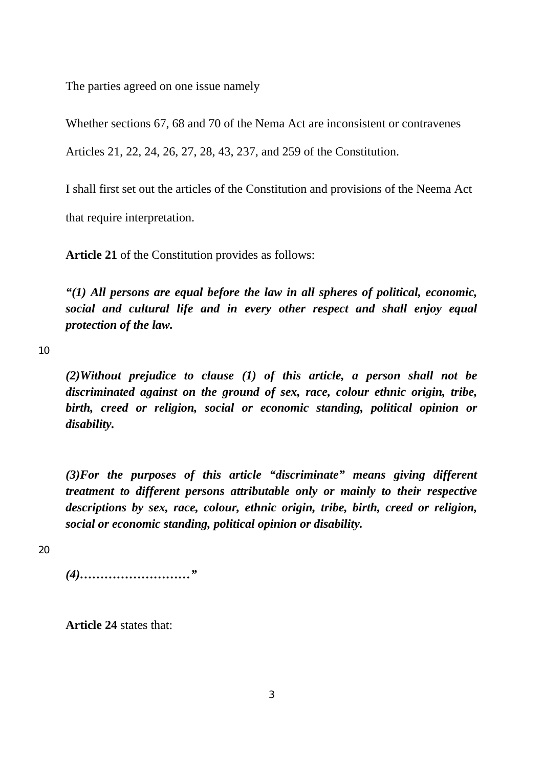The parties agreed on one issue namely

Whether sections 67, 68 and 70 of the Nema Act are inconsistent or contravenes

Articles 21, 22, 24, 26, 27, 28, 43, 237, and 259 of the Constitution.

I shall first set out the articles of the Constitution and provisions of the Neema Act

that require interpretation.

**Article 21** of the Constitution provides as follows:

*"(1) All persons are equal before the law in all spheres of political, economic, social and cultural life and in every other respect and shall enjoy equal protection of the law.* 

10

*(2)Without prejudice to clause (1) of this article, a person shall not be discriminated against on the ground of sex, race, colour ethnic origin, tribe, birth, creed or religion, social or economic standing, political opinion or disability.* 

*(3)For the purposes of this article "discriminate" means giving different treatment to different persons attributable only or mainly to their respective descriptions by sex, race, colour, ethnic origin, tribe, birth, creed or religion, social or economic standing, political opinion or disability.* 

20

*(4)………………………"* 

**Article 24** states that: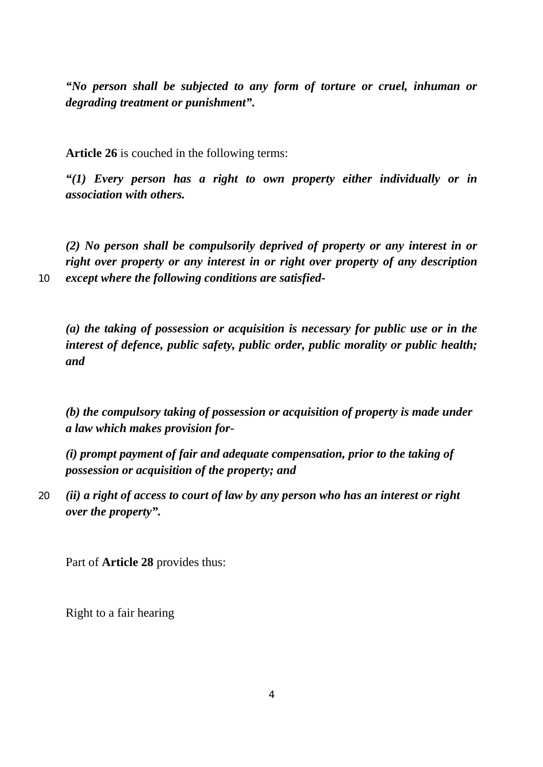*"No person shall be subjected to any form of torture or cruel, inhuman or degrading treatment or punishment".* 

**Article 26** is couched in the following terms:

*"(1) Every person has a right to own property either individually or in association with others.* 

*(2) No person shall be compulsorily deprived of property or any interest in or right over property or any interest in or right over property of any description except where the following conditions are satisfied-* 

10

*(a) the taking of possession or acquisition is necessary for public use or in the interest of defence, public safety, public order, public morality or public health; and* 

*(b) the compulsory taking of possession or acquisition of property is made under a law which makes provision for-* 

*(i) prompt payment of fair and adequate compensation, prior to the taking of possession or acquisition of the property; and* 

20 *(ii) a right of access to court of law by any person who has an interest or right over the property".* 

Part of **Article 28** provides thus:

Right to a fair hearing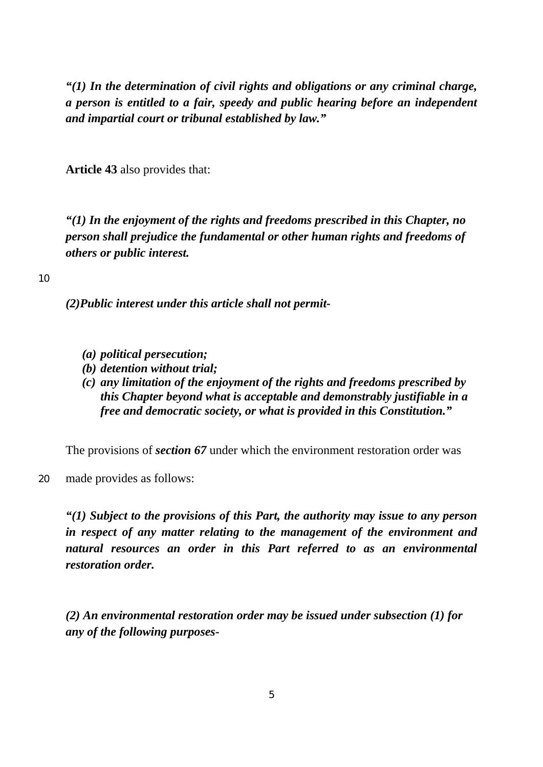*"(1) In the determination of civil rights and obligations or any criminal charge, a person is entitled to a fair, speedy and public hearing before an independent and impartial court or tribunal established by law."* 

**Article 43** also provides that:

*"(1) In the enjoyment of the rights and freedoms prescribed in this Chapter, no person shall prejudice the fundamental or other human rights and freedoms of others or public interest.* 

10

*(2)Public interest under this article shall not permit-* 

- *(a) political persecution;*
- *(b) detention without trial;*
- *(c) any limitation of the enjoyment of the rights and freedoms prescribed by this Chapter beyond what is acceptable and demonstrably justifiable in a free and democratic society, or what is provided in this Constitution."*

The provisions of *section 67* under which the environment restoration order was

20 made provides as follows:

> *"(1) Subject to the provisions of this Part, the authority may issue to any person in respect of any matter relating to the management of the environment and natural resources an order in this Part referred to as an environmental restoration order.*

*(2) An environmental restoration order may be issued under subsection (1) for any of the following purposes-*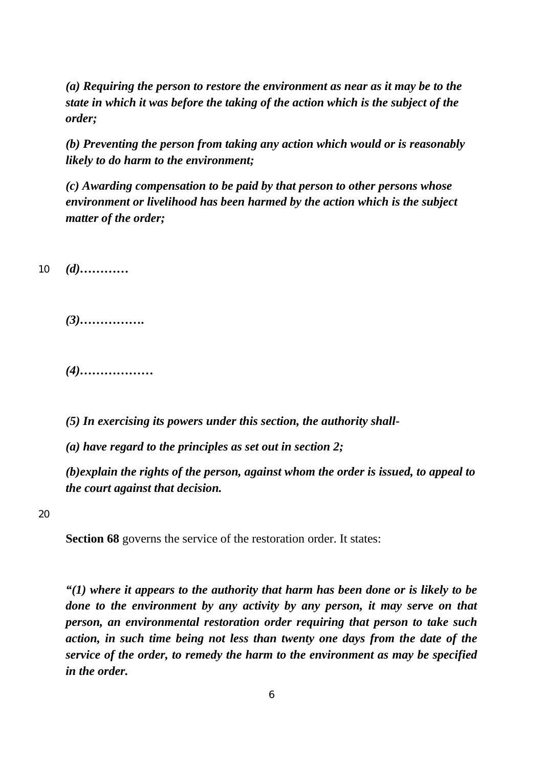*(a) Requiring the person to restore the environment as near as it may be to the state in which it was before the taking of the action which is the subject of the order;* 

*(b) Preventing the person from taking any action which would or is reasonably likely to do harm to the environment;* 

*(c) Awarding compensation to be paid by that person to other persons whose environment or livelihood has been harmed by the action which is the subject matter of the order;* 

10 *(d)…………* 

*(3)…………….* 

*(4)………………* 

*(5) In exercising its powers under this section, the authority shall-* 

*(a) have regard to the principles as set out in section 2;* 

*(b)explain the rights of the person, against whom the order is issued, to appeal to the court against that decision.* 

20

**Section 68** governs the service of the restoration order. It states:

*"(1) where it appears to the authority that harm has been done or is likely to be done to the environment by any activity by any person, it may serve on that person, an environmental restoration order requiring that person to take such action, in such time being not less than twenty one days from the date of the service of the order, to remedy the harm to the environment as may be specified in the order.*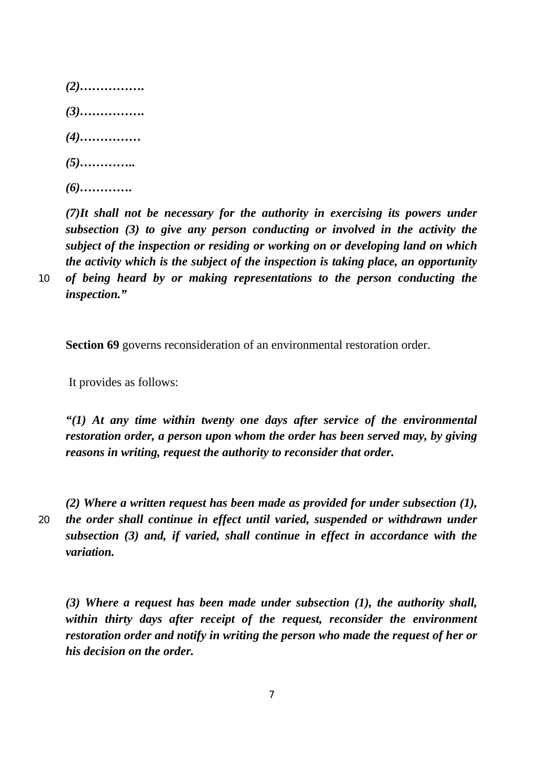*(2)……………. (3)……………. (4)…………… (5)………….. (6)………….* 

*(7)It shall not be necessary for the authority in exercising its powers under subsection (3) to give any person conducting or involved in the activity the subject of the inspection or residing or working on or developing land on which the activity which is the subject of the inspection is taking place, an opportunity of being heard by or making representations to the person conducting the inspection."* 

**Section 69** governs reconsideration of an environmental restoration order.

It provides as follows:

*"(1) At any time within twenty one days after service of the environmental restoration order, a person upon whom the order has been served may, by giving reasons in writing, request the authority to reconsider that order.* 

20

10

*(2) Where a written request has been made as provided for under subsection (1), the order shall continue in effect until varied, suspended or withdrawn under subsection (3) and, if varied, shall continue in effect in accordance with the variation.* 

*(3) Where a request has been made under subsection (1), the authority shall, within thirty days after receipt of the request, reconsider the environment restoration order and notify in writing the person who made the request of her or his decision on the order.*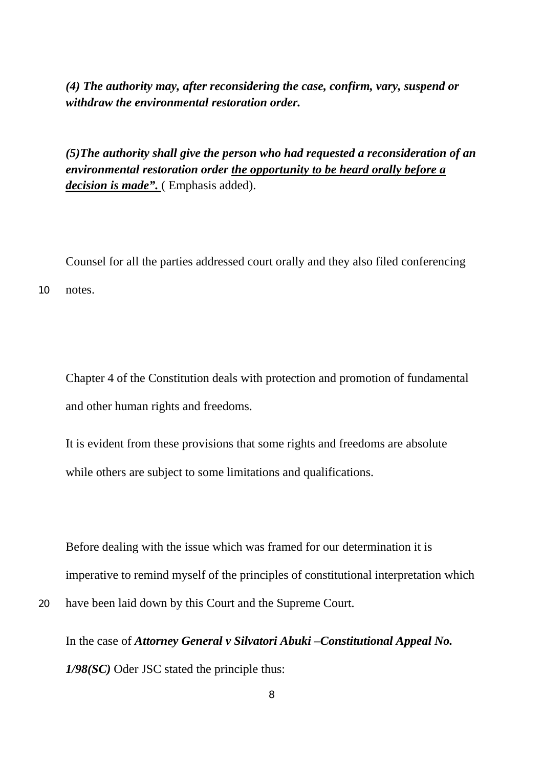*(4) The authority may, after reconsidering the case, confirm, vary, suspend or withdraw the environmental restoration order.* 

*(5)The authority shall give the person who had requested a reconsideration of an environmental restoration order the opportunity to be heard orally before a decision is made".* ( Emphasis added).

Counsel for all the parties addressed court orally and they also filed conferencing 10 notes.

Chapter 4 of the Constitution deals with protection and promotion of fundamental and other human rights and freedoms.

It is evident from these provisions that some rights and freedoms are absolute while others are subject to some limitations and qualifications.

Before dealing with the issue which was framed for our determination it is imperative to remind myself of the principles of constitutional interpretation which have been laid down by this Court and the Supreme Court.

In the case of *Attorney General v Silvatori Abuki –Constitutional Appeal No. 1/98(SC)* Oder JSC stated the principle thus: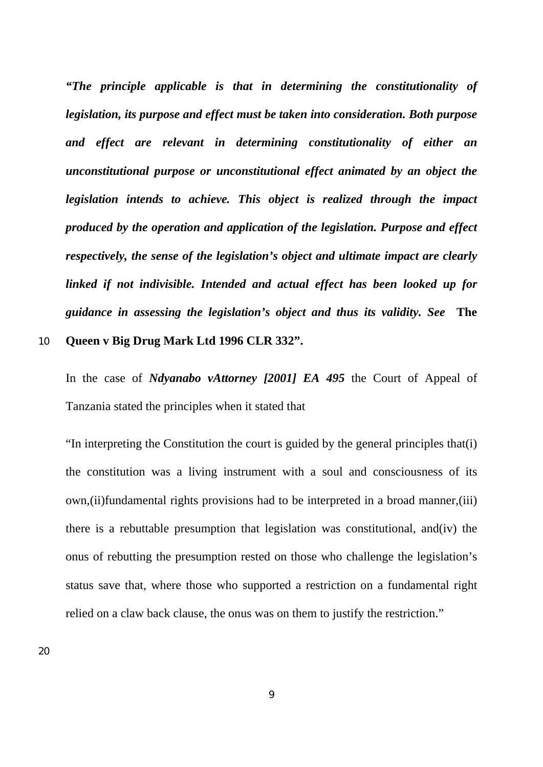*"The principle applicable is that in determining the constitutionality of legislation, its purpose and effect must be taken into consideration. Both purpose and effect are relevant in determining constitutionality of either an unconstitutional purpose or unconstitutional effect animated by an object the legislation intends to achieve. This object is realized through the impact produced by the operation and application of the legislation. Purpose and effect respectively, the sense of the legislation's object and ultimate impact are clearly linked if not indivisible. Intended and actual effect has been looked up for guidance in assessing the legislation's object and thus its validity. See* **The** 

#### 10 **Queen v Big Drug Mark Ltd 1996 CLR 332".**

In the case of *Ndyanabo vAttorney [2001] EA 495* the Court of Appeal of Tanzania stated the principles when it stated that

"In interpreting the Constitution the court is guided by the general principles that(i) the constitution was a living instrument with a soul and consciousness of its own,(ii)fundamental rights provisions had to be interpreted in a broad manner,(iii) there is a rebuttable presumption that legislation was constitutional, and(iv) the onus of rebutting the presumption rested on those who challenge the legislation's status save that, where those who supported a restriction on a fundamental right relied on a claw back clause, the onus was on them to justify the restriction."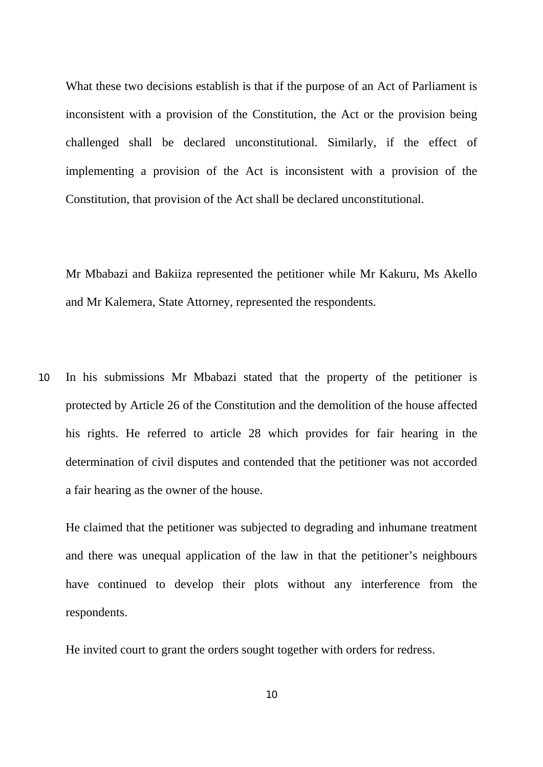What these two decisions establish is that if the purpose of an Act of Parliament is inconsistent with a provision of the Constitution, the Act or the provision being challenged shall be declared unconstitutional. Similarly, if the effect of implementing a provision of the Act is inconsistent with a provision of the Constitution, that provision of the Act shall be declared unconstitutional.

Mr Mbabazi and Bakiiza represented the petitioner while Mr Kakuru, Ms Akello and Mr Kalemera, State Attorney, represented the respondents.

10 In his submissions Mr Mbabazi stated that the property of the petitioner is protected by Article 26 of the Constitution and the demolition of the house affected his rights. He referred to article 28 which provides for fair hearing in the determination of civil disputes and contended that the petitioner was not accorded a fair hearing as the owner of the house.

He claimed that the petitioner was subjected to degrading and inhumane treatment and there was unequal application of the law in that the petitioner's neighbours have continued to develop their plots without any interference from the respondents.

He invited court to grant the orders sought together with orders for redress.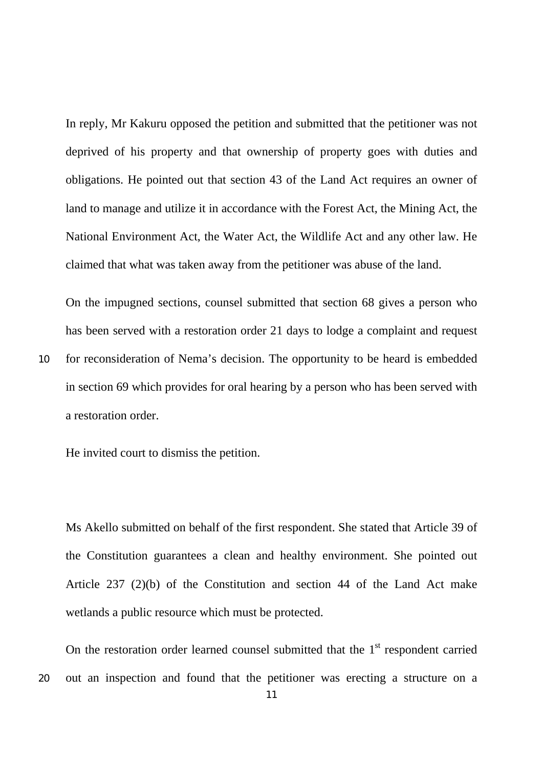In reply, Mr Kakuru opposed the petition and submitted that the petitioner was not deprived of his property and that ownership of property goes with duties and obligations. He pointed out that section 43 of the Land Act requires an owner of land to manage and utilize it in accordance with the Forest Act, the Mining Act, the National Environment Act, the Water Act, the Wildlife Act and any other law. He claimed that what was taken away from the petitioner was abuse of the land.

On the impugned sections, counsel submitted that section 68 gives a person who has been served with a restoration order 21 days to lodge a complaint and request for reconsideration of Nema's decision. The opportunity to be heard is embedded in section 69 which provides for oral hearing by a person who has been served with a restoration order.

He invited court to dismiss the petition.

10

Ms Akello submitted on behalf of the first respondent. She stated that Article 39 of the Constitution guarantees a clean and healthy environment. She pointed out Article 237 (2)(b) of the Constitution and section 44 of the Land Act make wetlands a public resource which must be protected.

20 On the restoration order learned counsel submitted that the  $1<sup>st</sup>$  respondent carried out an inspection and found that the petitioner was erecting a structure on a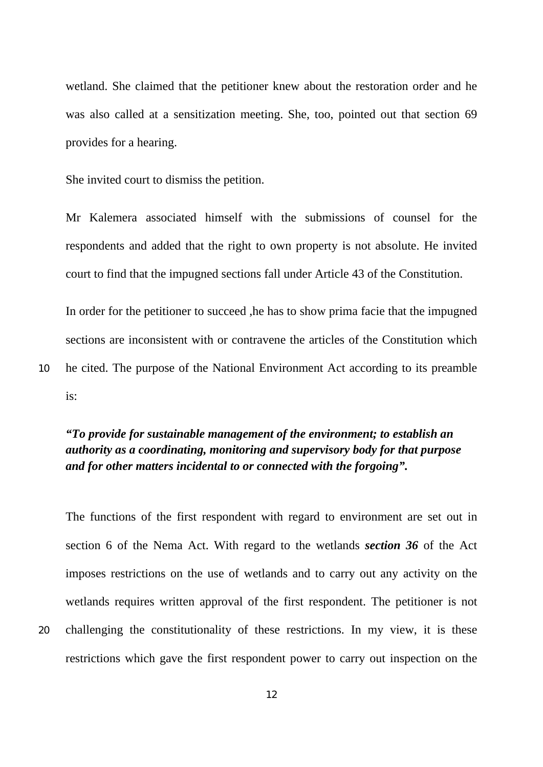wetland. She claimed that the petitioner knew about the restoration order and he was also called at a sensitization meeting. She, too, pointed out that section 69 provides for a hearing.

She invited court to dismiss the petition.

10

20

Mr Kalemera associated himself with the submissions of counsel for the respondents and added that the right to own property is not absolute. He invited court to find that the impugned sections fall under Article 43 of the Constitution.

In order for the petitioner to succeed ,he has to show prima facie that the impugned sections are inconsistent with or contravene the articles of the Constitution which he cited. The purpose of the National Environment Act according to its preamble is:

# *"To provide for sustainable management of the environment; to establish an authority as a coordinating, monitoring and supervisory body for that purpose and for other matters incidental to or connected with the forgoing".*

The functions of the first respondent with regard to environment are set out in section 6 of the Nema Act. With regard to the wetlands *section 36* of the Act imposes restrictions on the use of wetlands and to carry out any activity on the wetlands requires written approval of the first respondent. The petitioner is not challenging the constitutionality of these restrictions. In my view, it is these restrictions which gave the first respondent power to carry out inspection on the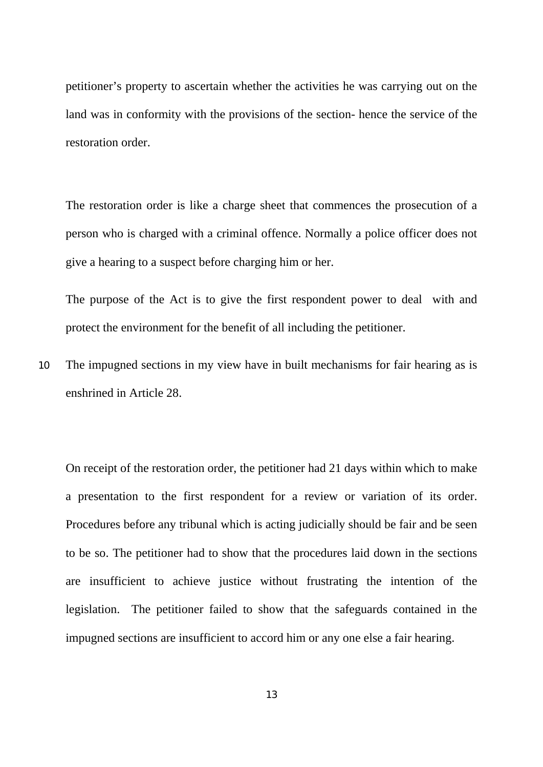petitioner's property to ascertain whether the activities he was carrying out on the land was in conformity with the provisions of the section- hence the service of the restoration order.

The restoration order is like a charge sheet that commences the prosecution of a person who is charged with a criminal offence. Normally a police officer does not give a hearing to a suspect before charging him or her.

The purpose of the Act is to give the first respondent power to deal with and protect the environment for the benefit of all including the petitioner.

10 The impugned sections in my view have in built mechanisms for fair hearing as is enshrined in Article 28.

On receipt of the restoration order, the petitioner had 21 days within which to make a presentation to the first respondent for a review or variation of its order. Procedures before any tribunal which is acting judicially should be fair and be seen to be so. The petitioner had to show that the procedures laid down in the sections are insufficient to achieve justice without frustrating the intention of the legislation. The petitioner failed to show that the safeguards contained in the impugned sections are insufficient to accord him or any one else a fair hearing.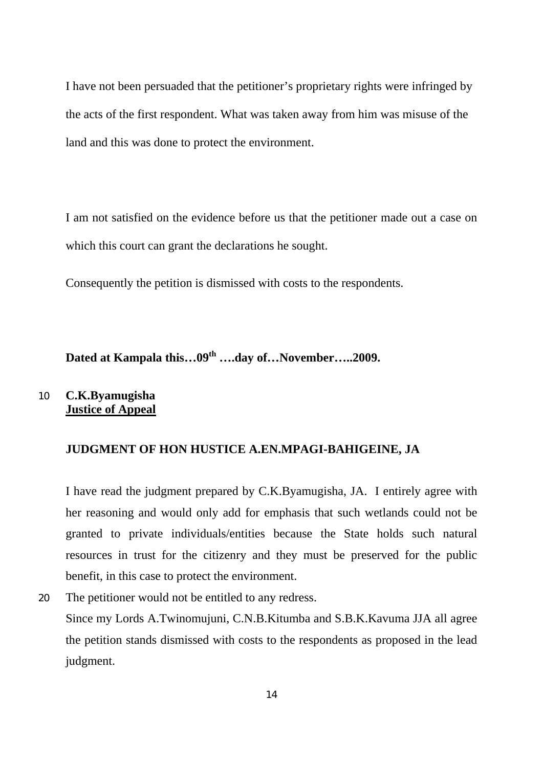I have not been persuaded that the petitioner's proprietary rights were infringed by the acts of the first respondent. What was taken away from him was misuse of the land and this was done to protect the environment.

I am not satisfied on the evidence before us that the petitioner made out a case on which this court can grant the declarations he sought.

Consequently the petition is dismissed with costs to the respondents.

**Dated at Kampala this…09th ….day of…November…..2009.** 

#### 10 **C.K.Byamugisha Justice of Appeal**

## **JUDGMENT OF HON HUSTICE A.EN.MPAGI-BAHIGEINE, JA**

I have read the judgment prepared by C.K.Byamugisha, JA. I entirely agree with her reasoning and would only add for emphasis that such wetlands could not be granted to private individuals/entities because the State holds such natural resources in trust for the citizenry and they must be preserved for the public benefit, in this case to protect the environment.

20 The petitioner would not be entitled to any redress. Since my Lords A.Twinomujuni, C.N.B.Kitumba and S.B.K.Kavuma JJA all agree the petition stands dismissed with costs to the respondents as proposed in the lead judgment.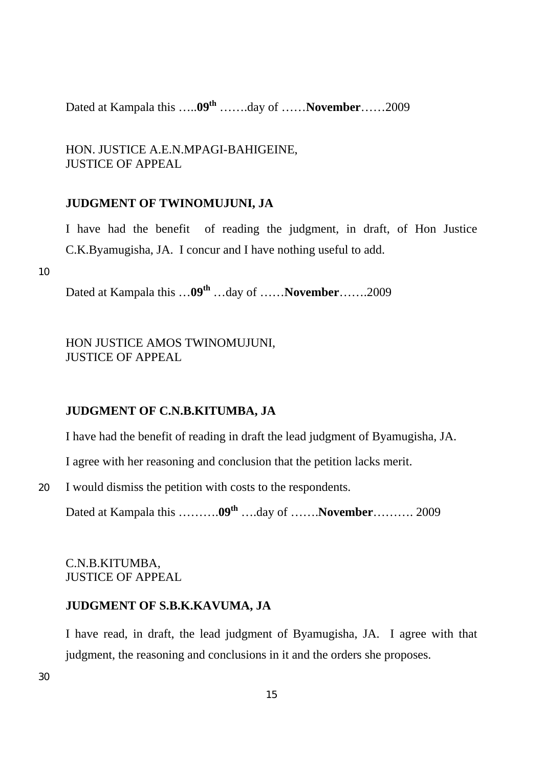Dated at Kampala this …...09<sup>th</sup> …….day of …….November……2009

HON. JUSTICE A.E.N.MPAGI-BAHIGEINE, JUSTICE OF APPEAL

## **JUDGMENT OF TWINOMUJUNI, JA**

I have had the benefit of reading the judgment, in draft, of Hon Justice C.K.Byamugisha, JA. I concur and I have nothing useful to add.

10

Dated at Kampala this …09<sup>th</sup> …day of ……**November**…….2009

HON JUSTICE AMOS TWINOMUJUNI, JUSTICE OF APPEAL

## **JUDGMENT OF C.N.B.KITUMBA, JA**

I have had the benefit of reading in draft the lead judgment of Byamugisha, JA.

I agree with her reasoning and conclusion that the petition lacks merit.

20 I would dismiss the petition with costs to the respondents.

Dated at Kampala this ………..<sup>09th</sup> ….day of …….**November**………. 2009

## C.N.B.KITUMBA, JUSTICE OF APPEAL

## **JUDGMENT OF S.B.K.KAVUMA, JA**

I have read, in draft, the lead judgment of Byamugisha, JA. I agree with that judgment, the reasoning and conclusions in it and the orders she proposes.